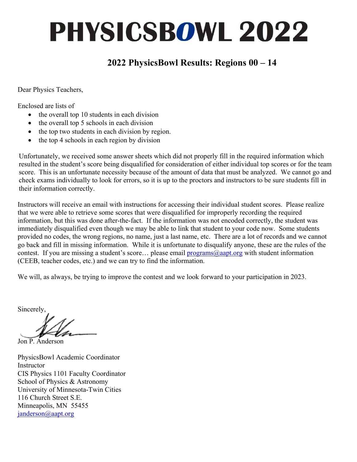#### **2022 PhysicsBowl Results: Regions 00 – 14**

Dear Physics Teachers,

Enclosed are lists of

- the overall top 10 students in each division
- the overall top 5 schools in each division
- the top two students in each division by region.
- the top 4 schools in each region by division

Unfortunately, we received some answer sheets which did not properly fill in the required information which resulted in the student's score being disqualified for consideration of either individual top scores or for the team score. This is an unfortunate necessity because of the amount of data that must be analyzed. We cannot go and check exams individually to look for errors, so it is up to the proctors and instructors to be sure students fill in their information correctly.

Instructors will receive an email with instructions for accessing their individual student scores. Please realize that we were able to retrieve some scores that were disqualified for improperly recording the required information, but this was done after-the-fact. If the information was not encoded correctly, the student was immediately disqualified even though we may be able to link that student to your code now. Some students provided no codes, the wrong regions, no name, just a last name, etc. There are a lot of records and we cannot go back and fill in missing information. While it is unfortunate to disqualify anyone, these are the rules of the contest. If you are missing a student's score... please email  $\frac{programs@aapt.org}{means@aapt.org}$  with student information (CEEB, teacher codes, etc.) and we can try to find the information.

We will, as always, be trying to improve the contest and we look forward to your participation in 2023.

Sincerely,

Jon P. Anderson

PhysicsBowl Academic Coordinator Instructor CIS Physics 1101 Faculty Coordinator School of Physics & Astronomy University of Minnesota-Twin Cities 116 Church Street S.E. Minneapolis, MN 55455 janderson@aapt.org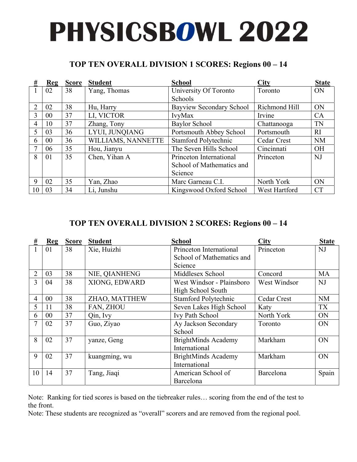#### **TOP TEN OVERALL DIVISION 1 SCORES: Regions 00 – 14**

| #              | Reg    | <b>Score</b> | <b>Student</b>     | <b>School</b>             | <b>City</b>        | <b>State</b> |
|----------------|--------|--------------|--------------------|---------------------------|--------------------|--------------|
|                | 02     | 38           | Yang, Thomas       | University Of Toronto     | Toronto            | <b>ON</b>    |
|                |        |              |                    | Schools                   |                    |              |
| 2              | 02     | 38           | Hu, Harry          | Bayview Secondary School  | Richmond Hill      | ON           |
| 3              | $00\,$ | 37           | LI, VICTOR         | IvyMax                    | Irvine             | CA           |
| $\overline{4}$ | 10     | 37           | Zhang, Tony        | Baylor School             | Chattanooga        | <b>TN</b>    |
| 5              | 03     | 36           | LYUI, JUNQIANG     | Portsmouth Abbey School   | Portsmouth         | RI           |
| 6              | $00\,$ | 36           | WILLIAMS, NANNETTE | Stamford Polytechnic      | <b>Cedar Crest</b> | <b>NM</b>    |
|                | 06     | 35           | Hou, Jianyu        | The Seven Hills School    | Cincinnati         | <b>OH</b>    |
| 8              | 01     | 35           | Chen, Yihan A      | Princeton International   | Princeton          | NJ           |
|                |        |              |                    | School of Mathematics and |                    |              |
|                |        |              |                    | Science                   |                    |              |
| 9              | 02     | 35           | Yan, Zhao          | Marc Garneau C.I.         | North York         | ON           |
| 10             | 03     | 34           | Li, Junshu         | Kingswood Oxford School   | West Hartford      | <b>CT</b>    |

#### **TOP TEN OVERALL DIVISION 2 SCORES: Regions 00 – 14**

| #  | Reg            | <b>Score</b> | <b>Student</b> | <b>School</b>              | <b>City</b>  | <b>State</b> |
|----|----------------|--------------|----------------|----------------------------|--------------|--------------|
|    | 01             | 38           | Xie, Huizhi    | Princeton International    | Princeton    | NJ           |
|    |                |              |                | School of Mathematics and  |              |              |
|    |                |              |                | Science                    |              |              |
| 2  | 03             | 38           | NIE, QIANHENG  | Middlesex School           | Concord      | MA           |
| 3  | 04             | 38           | XIONG, EDWARD  | West Windsor - Plainsboro  | West Windsor | NJ           |
|    |                |              |                | High School South          |              |              |
| 4  | 0 <sup>0</sup> | 38           | ZHAO, MATTHEW  | Stamford Polytechnic       | Cedar Crest  | <b>NM</b>    |
| 5  | 11             | 38           | FAN, ZHOU      | Seven Lakes High School    | Katy         | TX           |
| 6  | $00\,$         | 37           | Qin, Ivy       | Ivy Path School            | North York   | <b>ON</b>    |
|    | 02             | 37           | Guo, Ziyao     | Ay Jackson Secondary       | Toronto      | ON           |
|    |                |              |                | School                     |              |              |
| 8  | 02             | 37           | yanze, Geng    | <b>BrightMinds Academy</b> | Markham      | ON           |
|    |                |              |                | International              |              |              |
| 9  | 02             | 37           | kuangming, wu  | <b>BrightMinds Academy</b> | Markham      | ON           |
|    |                |              |                | International              |              |              |
| 10 | 14             | 37           | Tang, Jiaqi    | American School of         | Barcelona    | Spain        |
|    |                |              |                | Barcelona                  |              |              |

Note: Ranking for tied scores is based on the tiebreaker rules… scoring from the end of the test to the front.

Note: These students are recognized as "overall" scorers and are removed from the regional pool.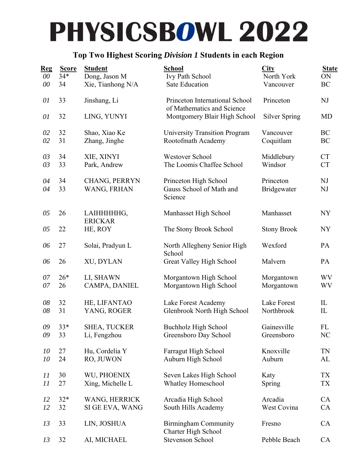#### **Top Two Highest Scoring** *Division 1* **Students in each Region**

| <b>Reg</b> | <b>Score</b> | <b>Student</b>               | School                                                       | City                     | <b>State</b> |
|------------|--------------|------------------------------|--------------------------------------------------------------|--------------------------|--------------|
| 00         | $34*$        | Dong, Jason M                | Ivy Path School                                              | North York               | ON           |
| 00         | 34           | Xie, Tianhong N/A            | <b>Sate Education</b>                                        | Vancouver                | BC           |
| 01         | 33           | Jinshang, Li                 | Princeton International School                               | Princeton                | NJ           |
| 01         | 32           | LING, YUNYI                  | of Mathematics and Science<br>Montgomery Blair High School   | Silver Spring            | MD           |
| 02         | 32           | Shao, Xiao Ke                | <b>University Transition Program</b>                         | Vancouver                | BC           |
| 02         | 31           | Zhang, Jinghe                | Rootofmath Academy                                           | Coquitlam                | BC           |
| 03         | 34           | XIE, XINYI                   | Westover School                                              | Middlebury               | <b>CT</b>    |
| 03         | 33           | Park, Andrew                 | The Loomis Chaffee School                                    | Windsor                  | <b>CT</b>    |
| 04<br>04   | 34<br>33     | CHANG, PERRYN<br>WANG, FRHAN | Princeton High School<br>Gauss School of Math and<br>Science | Princeton<br>Bridgewater | NJ<br>NJ     |
| 05         | 26           | LAIHHHHHG,                   | Manhasset High School                                        | Manhasset                | <b>NY</b>    |
| 05         | 22           | <b>ERICKAR</b><br>HE, ROY    | The Stony Brook School                                       | <b>Stony Brook</b>       | <b>NY</b>    |
| 06         | 27           | Solai, Pradyun L             | North Allegheny Senior High                                  | Wexford                  | PA           |
| 06         | 26           | XU, DYLAN                    | School<br>Great Valley High School                           | Malvern                  | PA           |
| 07         | $26*$        | LI, SHAWN                    | Morgantown High School                                       | Morgantown               | WV           |
| 07         | 26           | CAMPA, DANIEL                | Morgantown High School                                       | Morgantown               | WV           |
| 08         | 32           | HE, LIFANTAO                 | Lake Forest Academy                                          | Lake Forest              | IL           |
| 08         | 31           | YANG, ROGER                  | Glenbrook North High School                                  | Northbrook               | IL           |
| 09         | $33*$        | <b>SHEA, TUCKER</b>          | Buchholz High School                                         | Gainesville              | FL           |
| 09         | 33           | Li, Fengzhou                 | Greensboro Day School                                        | Greensboro               | NC           |
| 10         | 27           | Hu, Cordelia Y               | Farragut High School                                         | Knoxville                | TN           |
| 10         | 24           | RO, JUWON                    | Auburn High School                                           | Auburn                   | AL           |
| 11         | 30           | WU, PHOENIX                  | Seven Lakes High School                                      | Katy                     | TX           |
| 11         | 27           | Xing, Michelle L             | Whatley Homeschool                                           | Spring                   | TX           |
| 12         | $32*$        | WANG, HERRICK                | Arcadia High School                                          | Arcadia                  | CA           |
| 12         | 32           | SI GE EVA, WANG              | South Hills Academy                                          | West Covina              | CA           |
| 13         | 33           | LIN, JOSHUA                  | <b>Birmingham Community</b>                                  | Fresno                   | CA           |
| 13         | 32           | AI, MICHAEL                  | Charter High School<br>Stevenson School                      | Pebble Beach             | CA           |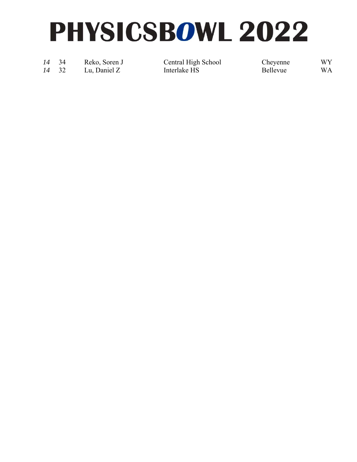*14* 34 Reko, Soren J Central High School Cheyenne WY

14 32 Lu, Daniel Z Interlake HS Bellevue WA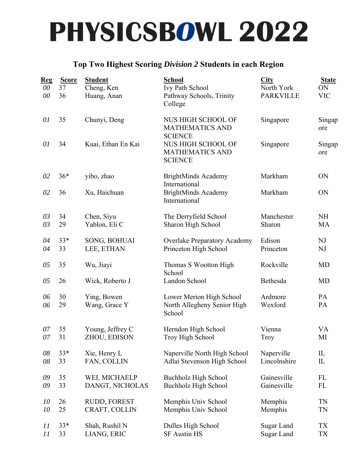#### **Top Two Highest Scoring** *Division 2* **Students in each Region**

| <u>Reg</u><br>00<br>00 | <b>Score</b><br>37<br>36 | <b>Student</b><br>Cheng, Ken<br>Huang, Anan | <b>School</b><br>Ivy Path School<br>Pathway Schools, Trinity<br>College | City<br>North York<br><b>PARKVILLE</b> | <b>State</b><br>ON<br><b>VIC</b> |
|------------------------|--------------------------|---------------------------------------------|-------------------------------------------------------------------------|----------------------------------------|----------------------------------|
| 01                     | 35                       | Chunyi, Deng                                | NUS HIGH SCHOOL OF<br><b>MATHEMATICS AND</b><br><b>SCIENCE</b>          | Singapore                              | Singap<br>ore                    |
| 01                     | 34                       | Kuai, Ethan En Kai                          | NUS HIGH SCHOOL OF<br><b>MATHEMATICS AND</b><br><b>SCIENCE</b>          | Singapore                              | Singap<br>ore                    |
| 02                     | $36*$                    | yibo, zhao                                  | <b>BrightMinds Academy</b><br>International                             | Markham                                | ON                               |
| 02                     | 36                       | Xu, Haichuan                                | <b>BrightMinds Academy</b><br>International                             | Markham                                | ON                               |
| 03<br>03               | 34<br>29                 | Chen, Siyu<br>Yablon, Eli C                 | The Derryfield School<br>Sharon High School                             | Manchester<br>Sharon                   | <b>NH</b><br>MA                  |
| 04<br>04               | $33*$<br>33              | SONG, BOHUAI<br>LEE, ETHAN                  | <b>Overlake Preparatory Academy</b><br>Princeton High School            | Edison<br>Princeton                    | NJ<br>NJ                         |
| 05                     | 35                       | Wu, Jiayi                                   | Thomas S Wootton High<br>School                                         | Rockville                              | <b>MD</b>                        |
| 05                     | 26                       | Wick, Roberto J                             | Landon School                                                           | Bethesda                               | <b>MD</b>                        |
| 06<br>06               | 30<br>29                 | Ying, Bowen<br>Wang, Grace Y                | Lower Merion High School<br>North Allegheny Senior High<br>School       | Ardmore<br>Wexford                     | PA<br>PA                         |
| 07<br>07               | 35<br>31                 | Young, Jeffrey C<br>ZHOU, EDISON            | Herndon High School<br>Troy High School                                 | Vienna<br>Troy                         | VA<br>MI                         |
| 08<br>08               | $33*$<br>33              | Xie, Henry L<br>FAN, COLLIN                 | Naperville North High School<br>Adlai Stevenson High School             | Naperville<br>Lincolnshire             | IL<br>$\mathop{\rm IL}\nolimits$ |
| 09<br>09               | 35<br>33                 | WEI, MICHAELP<br>DANGT, NICHOLAS            | Buchholz High School<br><b>Buchholz High School</b>                     | Gainesville<br>Gainesville             | FL<br>FL                         |
| 10<br>10               | 26<br>25                 | RUDD, FOREST<br>CRAFT, COLLIN               | Memphis Univ School<br>Memphis Univ School                              | Memphis<br>Memphis                     | TN<br>TN                         |
| 11<br>11               | $33*$<br>33              | Shah, Rushil N<br>LIANG, ERIC               | Dulles High School<br><b>SF Austin HS</b>                               | Sugar Land<br>Sugar Land               | TX<br>TX                         |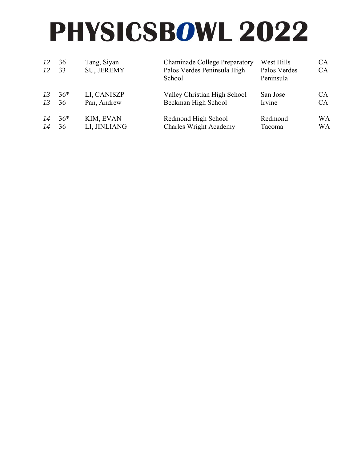| 12<br>12 | 36<br>33 | Tang, Siyan<br><b>Chaminade College Preparatory</b><br>SU, JEREMY<br>Palos Verdes Peninsula High<br>School |                               | West Hills<br>Palos Verdes<br>Peninsula | CA.<br>CA |  |
|----------|----------|------------------------------------------------------------------------------------------------------------|-------------------------------|-----------------------------------------|-----------|--|
| 13       | $36*$    | LI, CANISZP                                                                                                | Valley Christian High School  | San Jose                                | CA.       |  |
| 13       | 36       | Pan, Andrew                                                                                                | Beckman High School           | Irvine                                  | CA.       |  |
| 14       | $36*$    | KIM, EVAN                                                                                                  | Redmond High School           | Redmond                                 | <b>WA</b> |  |
| 14       | 36       | LI, JINLIANG                                                                                               | <b>Charles Wright Academy</b> | Tacoma                                  | WA        |  |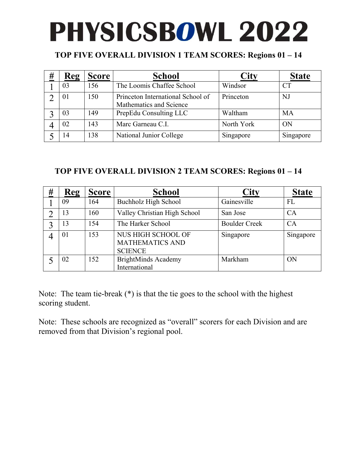#### **TOP FIVE OVERALL DIVISION 1 TEAM SCORES: Regions 01 – 14**

| # | Reg | <b>Score</b> | <b>School</b>                                                | City       | <b>State</b> |
|---|-----|--------------|--------------------------------------------------------------|------------|--------------|
|   | 03  | 156          | The Loomis Chaffee School                                    | Windsor    |              |
|   | 01  | 150          | Princeton International School of<br>Mathematics and Science | Princeton  | NJ           |
|   | 03  | 149          | PrepEdu Consulting LLC                                       | Waltham    | MA           |
|   | 02  | 143          | Marc Garneau C.I.                                            | North York | ON           |
|   | 14  | 138          | National Junior College                                      | Singapore  | Singapore    |

#### **TOP FIVE OVERALL DIVISION 2 TEAM SCORES: Regions 01 – 14**

| # | Reg | <b>Score</b> | <b>School</b>                                                         | City                 | <b>State</b> |
|---|-----|--------------|-----------------------------------------------------------------------|----------------------|--------------|
|   | 09  | 164          | Buchholz High School                                                  | Gainesville          | FL           |
|   | 13  | 160          | Valley Christian High School                                          | San Jose             | CA           |
|   | 13  | 154          | The Harker School                                                     | <b>Boulder Creek</b> | CA           |
|   | 01  | 153          | <b>NUS HIGH SCHOOL OF</b><br><b>MATHEMATICS AND</b><br><b>SCIENCE</b> | Singapore            | Singapore    |
|   | 02  | 152          | <b>BrightMinds Academy</b><br>International                           | Markham              | ON           |

Note: The team tie-break (\*) is that the tie goes to the school with the highest scoring student.

Note: These schools are recognized as "overall" scorers for each Division and are removed from that Division's regional pool.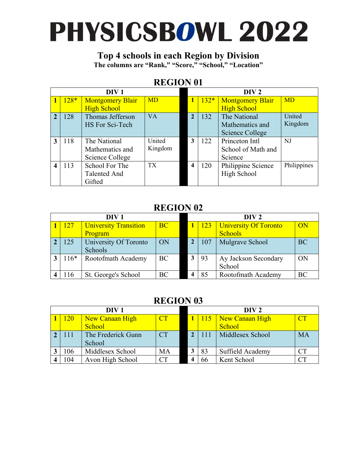### **Top 4 schools in each Region by Division**

**The columns are "Rank," "Score," "School," "Location"** 

#### **REGION 01**

|   |        | DIV <sub>1</sub>        |           |   |        | DIV <sub>2</sub>        |             |
|---|--------|-------------------------|-----------|---|--------|-------------------------|-------------|
|   | $128*$ | <b>Montgomery Blair</b> | <b>MD</b> |   | $132*$ | <b>Montgomery Blair</b> | <b>MD</b>   |
|   |        | <b>High School</b>      |           |   |        | <b>High School</b>      |             |
|   | 128    | Thomas Jefferson        | <b>VA</b> |   | 132    | The National            | United      |
|   |        | HS For Sci-Tech         |           |   |        | Mathematics and         | Kingdom     |
|   |        |                         |           |   |        | Science College         |             |
| 3 | 118    | The National            | United    | 3 | 122    | Princeton Intl          | NJ          |
|   |        | Mathematics and         | Kingdom   |   |        | School of Math and      |             |
|   |        | Science College         |           |   |        | Science                 |             |
| 4 | 113    | School For The          | <b>TX</b> |   | 120    | Philippine Science      | Philippines |
|   |        | <b>Talented And</b>     |           |   |        | High School             |             |
|   |        | Gifted                  |           |   |        |                         |             |

#### **REGION 02**

| DIV <sub>1</sub> |                              |           |  | DIV 2          |                        |           |  |
|------------------|------------------------------|-----------|--|----------------|------------------------|-----------|--|
| <b>127</b>       | University Transition        | <b>BC</b> |  | <sup>123</sup> | University Of Toronto  | ON        |  |
|                  | Program                      |           |  |                | <b>Schools</b>         |           |  |
| 125              | <b>University Of Toronto</b> | ON        |  | 107            | <b>Mulgrave School</b> | <b>BC</b> |  |
|                  | Schools                      |           |  |                |                        |           |  |
| $116*$           | Rootofmath Academy           | BC        |  | 93             | Ay Jackson Secondary   | ON        |  |
|                  |                              |           |  |                | School                 |           |  |
|                  | St. George's School          | BC        |  | 85             | Rootofmath Academy     | BC        |  |

| DIV <sub>1</sub> |            |                    |                     | DIV 2 |     |                  |           |
|------------------|------------|--------------------|---------------------|-------|-----|------------------|-----------|
|                  | <b>120</b> | New Canaan High    | $\operatorname{CT}$ |       | 115 | New Canaan High  | CT        |
|                  |            | School             |                     |       |     | School           |           |
|                  | <b>111</b> | The Frederick Gunn | <b>CT</b>           |       |     | Middlesex School | MA        |
|                  |            | School             |                     |       |     |                  |           |
|                  | 106        | Middlesex School   | MA                  |       | 83  | Suffield Academy | <b>CT</b> |
|                  | 104        | Avon High School   | CТ                  |       |     | Kent School      |           |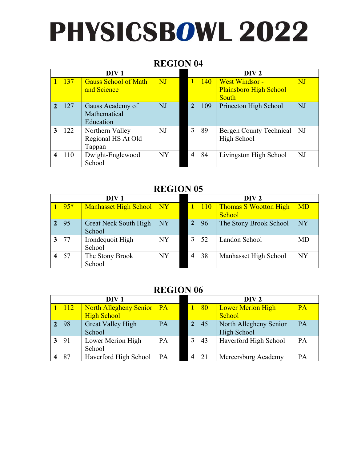#### **REGION 04**

|   |     | DIV <sub>1</sub>                                |           | DIV <sub>2</sub> |            |                                                 |           |
|---|-----|-------------------------------------------------|-----------|------------------|------------|-------------------------------------------------|-----------|
|   | 137 | <b>Gauss School of Math</b><br>and Science      | NJ        |                  | <b>140</b> | West Windsor -<br><b>Plainsboro High School</b> | NJ        |
|   |     |                                                 |           |                  |            | South                                           |           |
|   | 127 | Gauss Academy of<br>Mathematical<br>Education   | NJ        | $\mathbf{2}$     | 109        | Princeton High School                           | <b>NJ</b> |
| 3 | 122 | Northern Valley<br>Regional HS At Old<br>Tappan | <b>NJ</b> | 3                | 89         | Bergen County Technical<br>High School          | <b>NJ</b> |
|   | 110 | Dwight-Englewood<br>School                      | <b>NY</b> |                  | 84         | Livingston High School                          | <b>NJ</b> |

#### **REGION 05**

|       | DIV <sub>1</sub>             |           | DIV 2 |                |                              |           |
|-------|------------------------------|-----------|-------|----------------|------------------------------|-----------|
| $95*$ | Manhasset High School   NY   |           |       | <sup>110</sup> | <b>Thomas S Wootton High</b> | <b>MD</b> |
|       |                              |           |       |                | School                       |           |
| 95    | <b>Great Neck South High</b> | <b>NY</b> |       | 96             | The Stony Brook School       | <b>NY</b> |
|       | School                       |           |       |                |                              |           |
| 77    | Irondequoit High             | <b>NY</b> |       | 52             | Landon School                | <b>MD</b> |
|       | School                       |           |       |                |                              |           |
| 57    | The Stony Brook              | NY        |       | 38             | Manhasset High School        | <b>NY</b> |
|       | School                       |           |       |                |                              |           |

| DIV <sub>1</sub> |            |                             |    |              | DIV 2 |                          |    |  |
|------------------|------------|-----------------------------|----|--------------|-------|--------------------------|----|--|
|                  | <b>112</b> | North Allegheny Senior   PA |    |              | 80    | <b>Lower Merion High</b> | PA |  |
|                  |            | <b>High School</b>          |    |              |       | School                   |    |  |
|                  | 98         | <b>Great Valley High</b>    | PA | $\mathbf{2}$ | 45    | North Allegheny Senior   | PA |  |
|                  |            | School                      |    |              |       | High School              |    |  |
|                  | 91         | Lower Merion High           | PA | 3            | 43    | Haverford High School    | PA |  |
|                  |            | School                      |    |              |       |                          |    |  |
|                  | 87         | Haverford High School       | PA |              | 21    | Mercersburg Academy      | PA |  |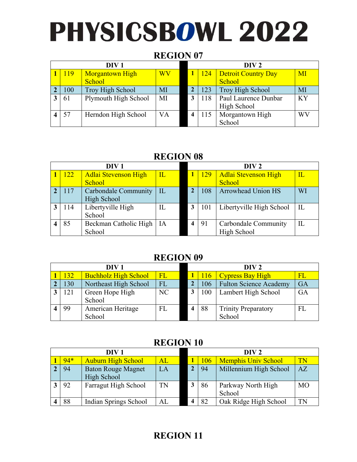#### **REGION 07**

| DIV <sub>1</sub> |     |                        |                        | DIV 2 |                            |           |  |
|------------------|-----|------------------------|------------------------|-------|----------------------------|-----------|--|
|                  | 119 | <b>Morgantown High</b> | $\overline{\text{WV}}$ | 124   | <b>Detroit Country Day</b> | MI        |  |
|                  |     | School                 |                        |       | School                     |           |  |
|                  | 100 | Troy High School       | MI                     | 123   | Troy High School           | MI        |  |
|                  | 61  | Plymouth High School   | MI                     | 118   | Paul Laurence Dunbar       | <b>KY</b> |  |
|                  |     |                        |                        |       | High School                |           |  |
|                  | 57  | Herndon High School    | VA                     |       | Morgantown High            | WV        |  |
|                  |     |                        |                        |       | School                     |           |  |

#### **REGION 08**

|       | DIV 1                       |                             |   | DIV <sub>2</sub> |                             |                        |  |  |
|-------|-----------------------------|-----------------------------|---|------------------|-----------------------------|------------------------|--|--|
| 122   | <b>Adlai Stevenson High</b> | $\overline{\text{IL}}$      |   | <b>129</b>       | <b>Adlai Stevenson High</b> | $\overline{\text{IL}}$ |  |  |
|       | School                      |                             |   |                  | School                      |                        |  |  |
| 2 117 | Carbondale Community        | $\overline{\phantom{a}}$ IL |   | 108              | <b>Arrowhead Union HS</b>   | WI                     |  |  |
|       | High School                 |                             |   |                  |                             |                        |  |  |
| 114   | Libertyville High           | IL                          | 3 | 101              | Libertyville High School    | IL                     |  |  |
|       | School                      |                             |   |                  |                             |                        |  |  |
| 85    | Beckman Catholic High       | - IA                        |   | 91               | Carbondale Community        | IL                     |  |  |
|       | School                      |                             |   |                  | High School                 |                        |  |  |

#### **REGION 09**

| DIV <sub>1</sub> |     |                             |           |     | DIV <sub>2</sub>              |          |
|------------------|-----|-----------------------------|-----------|-----|-------------------------------|----------|
|                  | 132 | <b>Buchholz High School</b> | $\sf{FL}$ | 116 | <b>Cypress Bay High</b>       | $\rm FL$ |
|                  | 130 | Northeast High School       | <b>FL</b> | 106 | <b>Fulton Science Academy</b> | GA       |
|                  | 121 | Green Hope High             | NC        | 100 | Lambert High School           | GA       |
|                  |     | School                      |           |     |                               |          |
|                  | 99  | American Heritage           | <b>FL</b> | 88  | <b>Trinity Preparatory</b>    | FL       |
|                  |     | School                      |           |     | School                        |          |

#### **REGION 10**

| DIV <sub>1</sub> |       |                                          |            | DIV 2 |     |                              |           |
|------------------|-------|------------------------------------------|------------|-------|-----|------------------------------|-----------|
|                  | $94*$ | <b>Auburn High School</b>                | ${\rm AL}$ |       | 106 | <b>Memphis Univ School</b>   | TN        |
|                  | 94    | <b>Baton Rouge Magnet</b><br>High School | LA         |       | 94  | Millennium High School       | AZ        |
|                  | 92    | Farragut High School                     | TN         |       | 86  | Parkway North High<br>School | <b>MO</b> |
|                  | 88    | Indian Springs School                    | AL         |       | 82  | Oak Ridge High School        | TN        |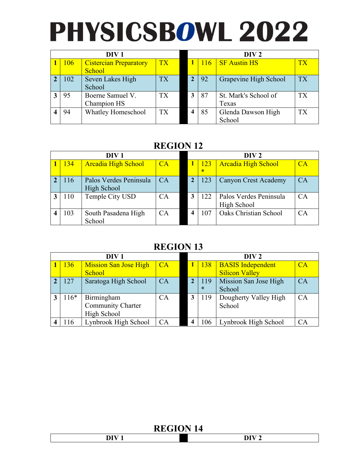| DIV <sub>1</sub> |            |                                         |           |   | DIV <sub>2</sub> |                               |           |  |
|------------------|------------|-----------------------------------------|-----------|---|------------------|-------------------------------|-----------|--|
|                  | <b>106</b> | <b>Cistercian Preparatory</b><br>School | <b>TX</b> |   | 116              | <b>SF</b> Austin HS           | <b>TX</b> |  |
|                  | 102        | Seven Lakes High<br>School              | <b>TX</b> |   | 92               | Grapevine High School         | <b>TX</b> |  |
|                  | 95         | Boerne Samuel V.<br>Champion HS         | ТX        | 3 | 87               | St. Mark's School of<br>Texas | <b>TX</b> |  |
|                  | 94         | <b>Whatley Homeschool</b>               | <b>TX</b> | 4 | 85               | Glenda Dawson High<br>School  | TX        |  |

#### **REGION 12**

|     | DIV <sub>1</sub>                      |    | DIV 2           |                                       |    |  |
|-----|---------------------------------------|----|-----------------|---------------------------------------|----|--|
| 134 | <b>Arcadia High School</b>            | CA | 123<br>$\ast$   | <b>Arcadia High School</b>            | CA |  |
| 116 | Palos Verdes Peninsula<br>High School | CA | 123             | Canyon Crest Academy                  | CA |  |
| 110 | Temple City USD                       | CA | 122             | Palos Verdes Peninsula<br>High School | CA |  |
| 103 | South Pasadena High<br>School         | СA | $\overline{07}$ | Oaks Christian School                 | CA |  |

#### **REGION 13**

| DIV <sub>1</sub> |        |                              |    | DIV <sub>2</sub> |                          |    |  |
|------------------|--------|------------------------------|----|------------------|--------------------------|----|--|
|                  | 136    | <b>Mission San Jose High</b> | CA | <b>138</b>       | <b>BASIS Independent</b> | CA |  |
|                  |        | School                       |    |                  | <b>Silicon Valley</b>    |    |  |
|                  | 127    | Saratoga High School         | CA | 119              | Mission San Jose High    | CA |  |
|                  |        |                              |    | $\ast$           | School                   |    |  |
|                  | $116*$ | Birmingham                   | CA | 119              | Dougherty Valley High    | CA |  |
|                  |        | <b>Community Charter</b>     |    |                  | School                   |    |  |
|                  |        | High School                  |    |                  |                          |    |  |
|                  |        | Lynbrook High School         | CA | 106              | Lynbrook High School     | CA |  |

| --- -- - - - - -                |                                 |
|---------------------------------|---------------------------------|
| $-$<br>$\overline{\phantom{0}}$ | $\overline{\phantom{0}}$<br>$-$ |
|                                 |                                 |